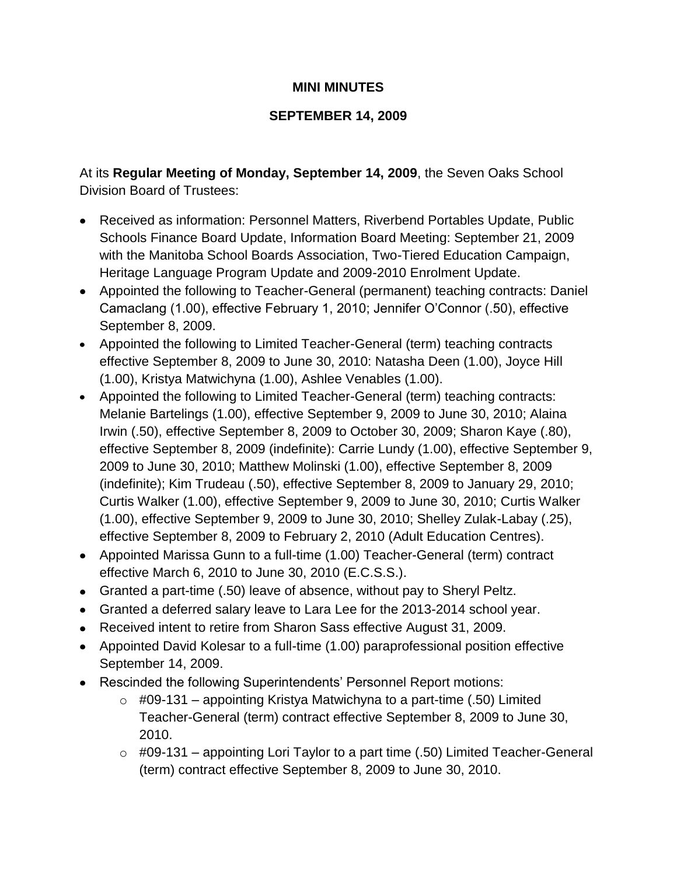## **MINI MINUTES**

## **SEPTEMBER 14, 2009**

At its **Regular Meeting of Monday, September 14, 2009**, the Seven Oaks School Division Board of Trustees:

- Received as information: Personnel Matters, Riverbend Portables Update, Public Schools Finance Board Update, Information Board Meeting: September 21, 2009 with the Manitoba School Boards Association, Two-Tiered Education Campaign, Heritage Language Program Update and 2009-2010 Enrolment Update.
- Appointed the following to Teacher-General (permanent) teaching contracts: Daniel Camaclang (1.00), effective February 1, 2010; Jennifer O'Connor (.50), effective September 8, 2009.
- Appointed the following to Limited Teacher-General (term) teaching contracts effective September 8, 2009 to June 30, 2010: Natasha Deen (1.00), Joyce Hill (1.00), Kristya Matwichyna (1.00), Ashlee Venables (1.00).
- Appointed the following to Limited Teacher-General (term) teaching contracts: Melanie Bartelings (1.00), effective September 9, 2009 to June 30, 2010; Alaina Irwin (.50), effective September 8, 2009 to October 30, 2009; Sharon Kaye (.80), effective September 8, 2009 (indefinite): Carrie Lundy (1.00), effective September 9, 2009 to June 30, 2010; Matthew Molinski (1.00), effective September 8, 2009 (indefinite); Kim Trudeau (.50), effective September 8, 2009 to January 29, 2010; Curtis Walker (1.00), effective September 9, 2009 to June 30, 2010; Curtis Walker (1.00), effective September 9, 2009 to June 30, 2010; Shelley Zulak-Labay (.25), effective September 8, 2009 to February 2, 2010 (Adult Education Centres).
- Appointed Marissa Gunn to a full-time (1.00) Teacher-General (term) contract effective March 6, 2010 to June 30, 2010 (E.C.S.S.).
- Granted a part-time (.50) leave of absence, without pay to Sheryl Peltz.
- Granted a deferred salary leave to Lara Lee for the 2013-2014 school year.
- Received intent to retire from Sharon Sass effective August 31, 2009.
- Appointed David Kolesar to a full-time (1.00) paraprofessional position effective September 14, 2009.
- Rescinded the following Superintendents' Personnel Report motions:
	- $\circ$  #09-131 appointing Kristya Matwichyna to a part-time (.50) Limited Teacher-General (term) contract effective September 8, 2009 to June 30, 2010.
	- $\circ$  #09-131 appointing Lori Taylor to a part time (.50) Limited Teacher-General (term) contract effective September 8, 2009 to June 30, 2010.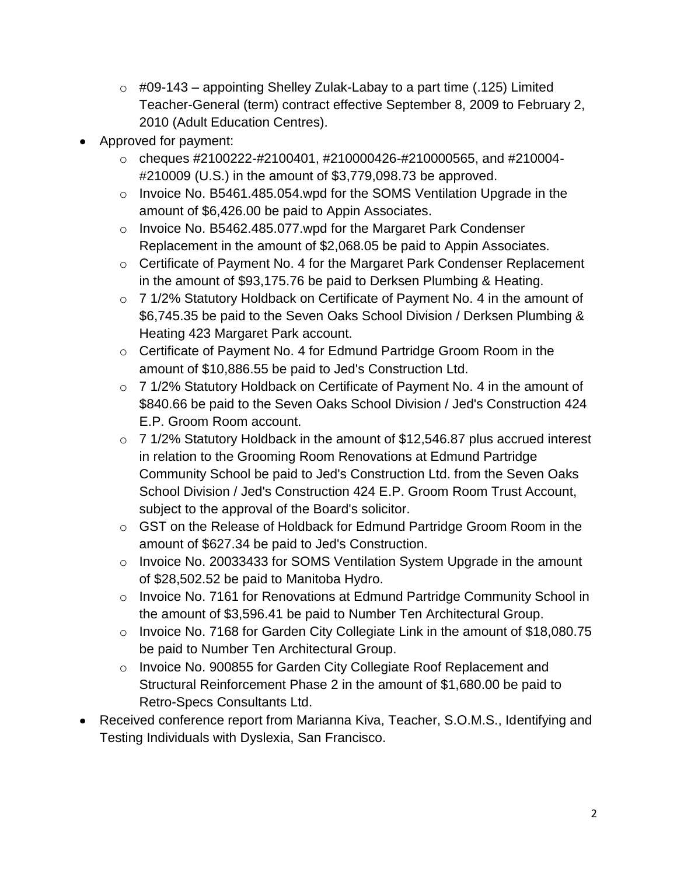- $\circ$  #09-143 appointing Shelley Zulak-Labay to a part time (.125) Limited Teacher-General (term) contract effective September 8, 2009 to February 2, 2010 (Adult Education Centres).
- Approved for payment:
	- $\circ$  cheques #2100222-#2100401, #210000426-#210000565, and #210004-#210009 (U.S.) in the amount of \$3,779,098.73 be approved.
	- o Invoice No. B5461.485.054.wpd for the SOMS Ventilation Upgrade in the amount of \$6,426.00 be paid to Appin Associates.
	- o Invoice No. B5462.485.077.wpd for the Margaret Park Condenser Replacement in the amount of \$2,068.05 be paid to Appin Associates.
	- o Certificate of Payment No. 4 for the Margaret Park Condenser Replacement in the amount of \$93,175.76 be paid to Derksen Plumbing & Heating.
	- o 7 1/2% Statutory Holdback on Certificate of Payment No. 4 in the amount of \$6,745.35 be paid to the Seven Oaks School Division / Derksen Plumbing & Heating 423 Margaret Park account.
	- o Certificate of Payment No. 4 for Edmund Partridge Groom Room in the amount of \$10,886.55 be paid to Jed's Construction Ltd.
	- o 7 1/2% Statutory Holdback on Certificate of Payment No. 4 in the amount of \$840.66 be paid to the Seven Oaks School Division / Jed's Construction 424 E.P. Groom Room account.
	- o 7 1/2% Statutory Holdback in the amount of \$12,546.87 plus accrued interest in relation to the Grooming Room Renovations at Edmund Partridge Community School be paid to Jed's Construction Ltd. from the Seven Oaks School Division / Jed's Construction 424 E.P. Groom Room Trust Account, subject to the approval of the Board's solicitor.
	- o GST on the Release of Holdback for Edmund Partridge Groom Room in the amount of \$627.34 be paid to Jed's Construction.
	- o Invoice No. 20033433 for SOMS Ventilation System Upgrade in the amount of \$28,502.52 be paid to Manitoba Hydro.
	- o Invoice No. 7161 for Renovations at Edmund Partridge Community School in the amount of \$3,596.41 be paid to Number Ten Architectural Group.
	- o Invoice No. 7168 for Garden City Collegiate Link in the amount of \$18,080.75 be paid to Number Ten Architectural Group.
	- o Invoice No. 900855 for Garden City Collegiate Roof Replacement and Structural Reinforcement Phase 2 in the amount of \$1,680.00 be paid to Retro-Specs Consultants Ltd.
- Received conference report from Marianna Kiva, Teacher, S.O.M.S., Identifying and Testing Individuals with Dyslexia, San Francisco.